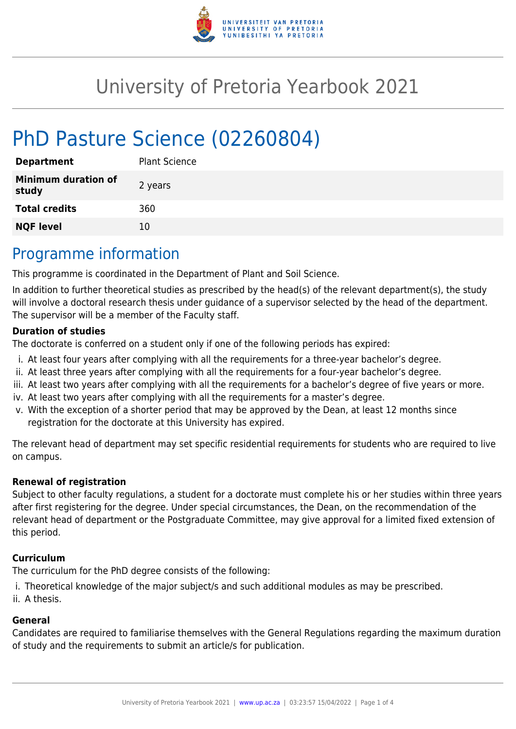

# University of Pretoria Yearbook 2021

# PhD Pasture Science (02260804)

| <b>Department</b>                   | <b>Plant Science</b> |
|-------------------------------------|----------------------|
| <b>Minimum duration of</b><br>study | 2 years              |
| <b>Total credits</b>                | 360                  |
| <b>NQF level</b>                    | 10                   |

## Programme information

This programme is coordinated in the Department of Plant and Soil Science.

In addition to further theoretical studies as prescribed by the head(s) of the relevant department(s), the study will involve a doctoral research thesis under guidance of a supervisor selected by the head of the department. The supervisor will be a member of the Faculty staff.

#### **Duration of studies**

The doctorate is conferred on a student only if one of the following periods has expired:

- i. At least four years after complying with all the requirements for a three-year bachelor's degree.
- ii. At least three years after complying with all the requirements for a four-year bachelor's degree.
- iii. At least two years after complying with all the requirements for a bachelor's degree of five years or more.
- iv. At least two years after complying with all the requirements for a master's degree.
- v. With the exception of a shorter period that may be approved by the Dean, at least 12 months since registration for the doctorate at this University has expired.

The relevant head of department may set specific residential requirements for students who are required to live on campus.

#### **Renewal of registration**

Subject to other faculty regulations, a student for a doctorate must complete his or her studies within three years after first registering for the degree. Under special circumstances, the Dean, on the recommendation of the relevant head of department or the Postgraduate Committee, may give approval for a limited fixed extension of this period.

#### **Curriculum**

The curriculum for the PhD degree consists of the following:

- i. Theoretical knowledge of the major subject/s and such additional modules as may be prescribed.
- ii. A thesis.

#### **General**

Candidates are required to familiarise themselves with the General Regulations regarding the maximum duration of study and the requirements to submit an article/s for publication.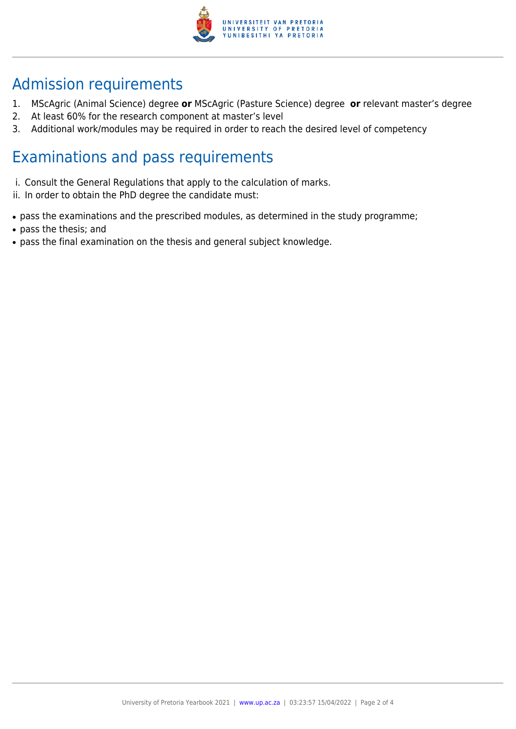

## Admission requirements

- 1. MScAgric (Animal Science) degree **or** MScAgric (Pasture Science) degree **or** relevant master's degree
- 2. At least 60% for the research component at master's level
- 3. Additional work/modules may be required in order to reach the desired level of competency

### Examinations and pass requirements

- i. Consult the General Regulations that apply to the calculation of marks.
- ii. In order to obtain the PhD degree the candidate must:
- pass the examinations and the prescribed modules, as determined in the study programme;
- pass the thesis; and
- pass the final examination on the thesis and general subject knowledge.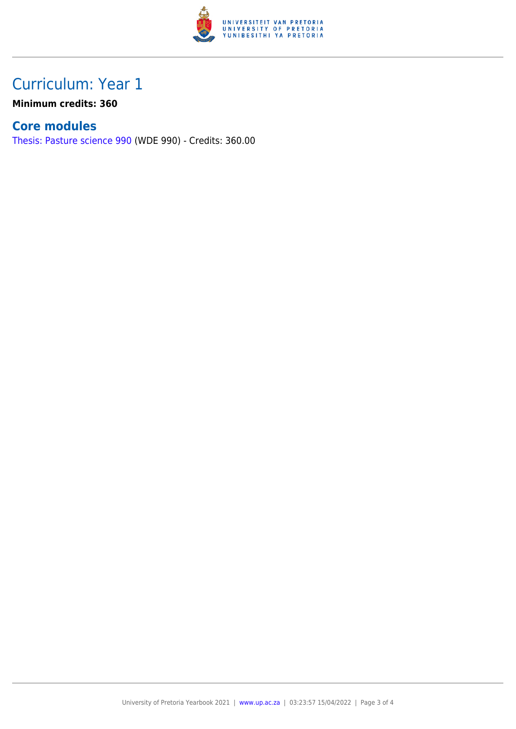

## Curriculum: Year 1

**Minimum credits: 360**

### **Core modules**

[Thesis: Pasture science 990](https://www.up.ac.za/faculty-of-education/yearbooks/2021/modules/view/WDE 990) (WDE 990) - Credits: 360.00